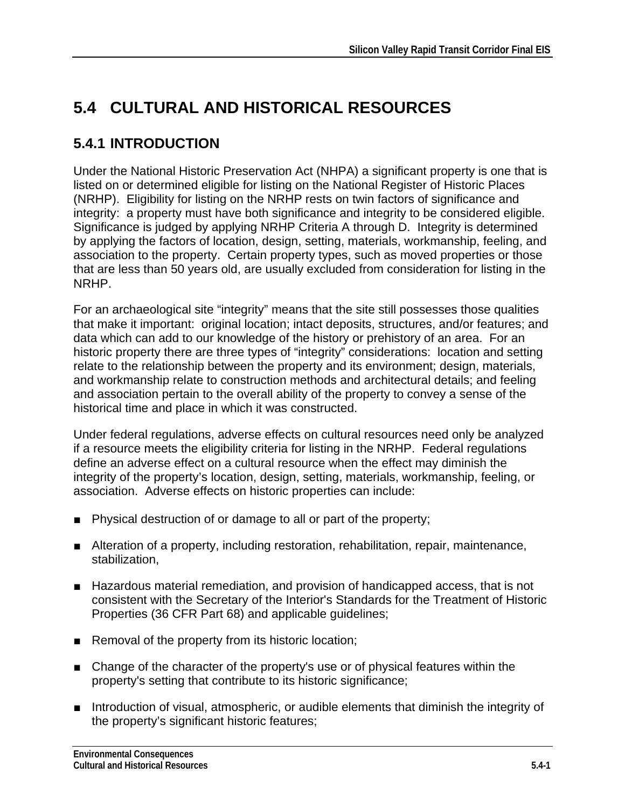# **5.4 CULTURAL AND HISTORICAL RESOURCES**

# **5.4.1 INTRODUCTION**

Under the National Historic Preservation Act (NHPA) a significant property is one that is listed on or determined eligible for listing on the National Register of Historic Places (NRHP). Eligibility for listing on the NRHP rests on twin factors of significance and integrity: a property must have both significance and integrity to be considered eligible. Significance is judged by applying NRHP Criteria A through D. Integrity is determined by applying the factors of location, design, setting, materials, workmanship, feeling, and association to the property. Certain property types, such as moved properties or those that are less than 50 years old, are usually excluded from consideration for listing in the NRHP.

For an archaeological site "integrity" means that the site still possesses those qualities that make it important: original location; intact deposits, structures, and/or features; and data which can add to our knowledge of the history or prehistory of an area. For an historic property there are three types of "integrity" considerations: location and setting relate to the relationship between the property and its environment; design, materials, and workmanship relate to construction methods and architectural details; and feeling and association pertain to the overall ability of the property to convey a sense of the historical time and place in which it was constructed.

Under federal regulations, adverse effects on cultural resources need only be analyzed if a resource meets the eligibility criteria for listing in the NRHP. Federal regulations define an adverse effect on a cultural resource when the effect may diminish the integrity of the property's location, design, setting, materials, workmanship, feeling, or association. Adverse effects on historic properties can include:

- Physical destruction of or damage to all or part of the property;
- Alteration of a property, including restoration, rehabilitation, repair, maintenance, stabilization,
- Hazardous material remediation, and provision of handicapped access, that is not consistent with the Secretary of the Interior's Standards for the Treatment of Historic Properties (36 CFR Part 68) and applicable guidelines;
- Removal of the property from its historic location;
- Change of the character of the property's use or of physical features within the property's setting that contribute to its historic significance;
- Introduction of visual, atmospheric, or audible elements that diminish the integrity of the property's significant historic features;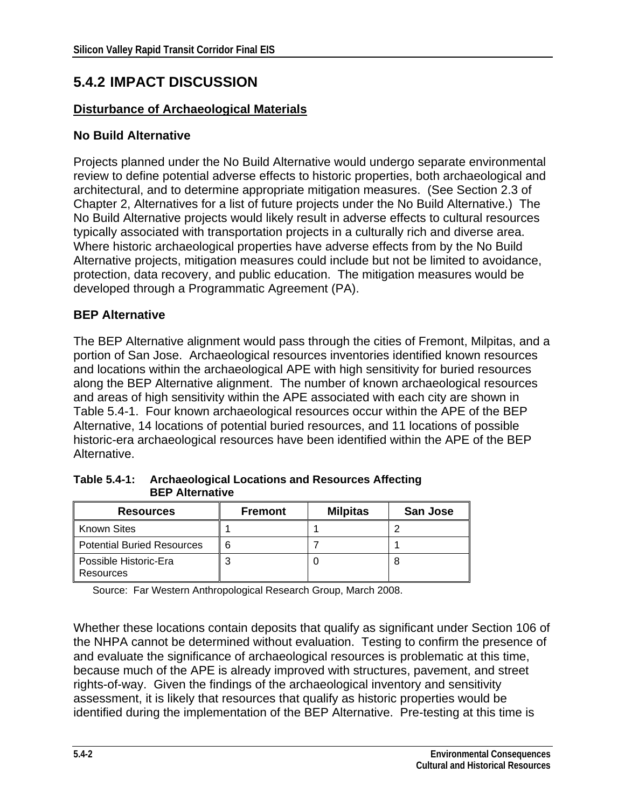## **5.4.2 IMPACT DISCUSSION**

#### **Disturbance of Archaeological Materials**

#### **No Build Alternative**

Projects planned under the No Build Alternative would undergo separate environmental review to define potential adverse effects to historic properties, both archaeological and architectural, and to determine appropriate mitigation measures. (See Section 2.3 of Chapter 2, Alternatives for a list of future projects under the No Build Alternative.) The No Build Alternative projects would likely result in adverse effects to cultural resources typically associated with transportation projects in a culturally rich and diverse area. Where historic archaeological properties have adverse effects from by the No Build Alternative projects, mitigation measures could include but not be limited to avoidance, protection, data recovery, and public education. The mitigation measures would be developed through a Programmatic Agreement (PA).

#### **BEP Alternative**

The BEP Alternative alignment would pass through the cities of Fremont, Milpitas, and a portion of San Jose. Archaeological resources inventories identified known resources and locations within the archaeological APE with high sensitivity for buried resources along the BEP Alternative alignment. The number of known archaeological resources and areas of high sensitivity within the APE associated with each city are shown in Table 5.4-1. Four known archaeological resources occur within the APE of the BEP Alternative, 14 locations of potential buried resources, and 11 locations of possible historic-era archaeological resources have been identified within the APE of the BEP Alternative.

| <b>Resources</b>                   | <b>Fremont</b> | <b>Milpitas</b> | San Jose |
|------------------------------------|----------------|-----------------|----------|
| <b>Known Sites</b>                 |                |                 |          |
| <b>Potential Buried Resources</b>  | 6              |                 |          |
| Possible Historic-Era<br>Resources |                |                 |          |

**Table 5.4-1: Archaeological Locations and Resources Affecting BEP Alternative** 

Source: Far Western Anthropological Research Group, March 2008.

Whether these locations contain deposits that qualify as significant under Section 106 of the NHPA cannot be determined without evaluation.Testing to confirm the presence of and evaluate the significance of archaeological resources is problematic at this time, because much of the APE is already improved with structures, pavement, and street rights-of-way. Given the findings of the archaeological inventory and sensitivity assessment, it is likely that resources that qualify as historic properties would be identified during the implementation of the BEP Alternative. Pre-testing at this time is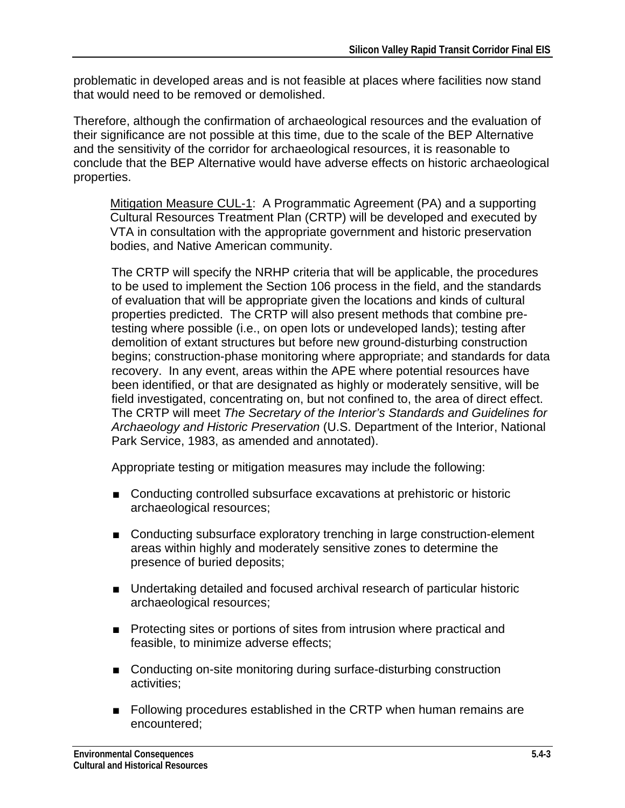problematic in developed areas and is not feasible at places where facilities now stand that would need to be removed or demolished.

Therefore, although the confirmation of archaeological resources and the evaluation of their significance are not possible at this time, due to the scale of the BEP Alternative and the sensitivity of the corridor for archaeological resources, it is reasonable to conclude that the BEP Alternative would have adverse effects on historic archaeological properties.

Mitigation Measure CUL-1: A Programmatic Agreement (PA) and a supporting Cultural Resources Treatment Plan (CRTP) will be developed and executed by VTA in consultation with the appropriate government and historic preservation bodies, and Native American community.

The CRTP will specify the NRHP criteria that will be applicable, the procedures to be used to implement the Section 106 process in the field, and the standards of evaluation that will be appropriate given the locations and kinds of cultural properties predicted. The CRTP will also present methods that combine pretesting where possible (i.e., on open lots or undeveloped lands); testing after demolition of extant structures but before new ground-disturbing construction begins; construction-phase monitoring where appropriate; and standards for data recovery. In any event, areas within the APE where potential resources have been identified, or that are designated as highly or moderately sensitive, will be field investigated, concentrating on, but not confined to, the area of direct effect. The CRTP will meet *The Secretary of the Interior's Standards and Guidelines for Archaeology and Historic Preservation* (U.S. Department of the Interior, National Park Service, 1983, as amended and annotated).

Appropriate testing or mitigation measures may include the following:

- Conducting controlled subsurface excavations at prehistoric or historic archaeological resources;
- Conducting subsurface exploratory trenching in large construction-element areas within highly and moderately sensitive zones to determine the presence of buried deposits;
- Undertaking detailed and focused archival research of particular historic archaeological resources;
- Protecting sites or portions of sites from intrusion where practical and feasible, to minimize adverse effects;
- Conducting on-site monitoring during surface-disturbing construction activities;
- Following procedures established in the CRTP when human remains are encountered;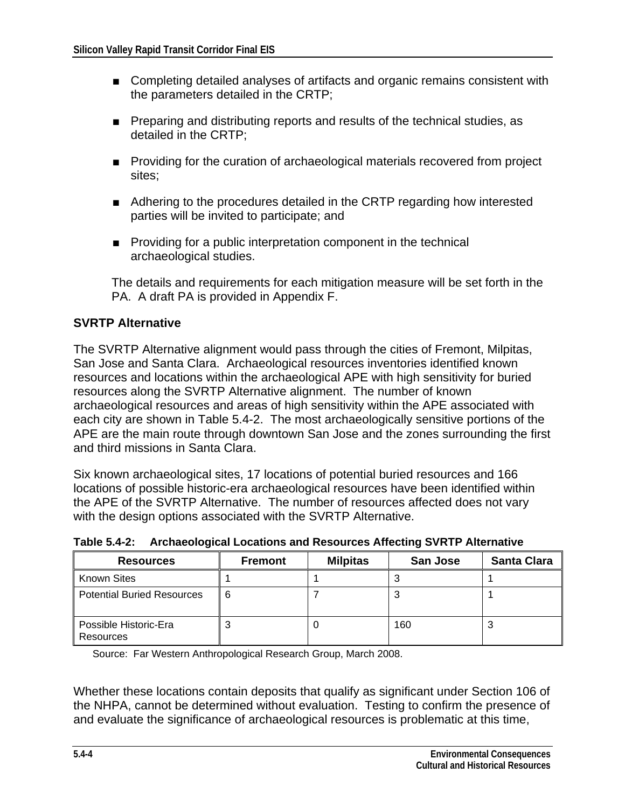- Completing detailed analyses of artifacts and organic remains consistent with the parameters detailed in the CRTP;
- Preparing and distributing reports and results of the technical studies, as detailed in the CRTP;
- Providing for the curation of archaeological materials recovered from project sites;
- Adhering to the procedures detailed in the CRTP regarding how interested parties will be invited to participate; and
- Providing for a public interpretation component in the technical archaeological studies.

The details and requirements for each mitigation measure will be set forth in the PA. A draft PA is provided in Appendix F.

#### **SVRTP Alternative**

The SVRTP Alternative alignment would pass through the cities of Fremont, Milpitas, San Jose and Santa Clara. Archaeological resources inventories identified known resources and locations within the archaeological APE with high sensitivity for buried resources along the SVRTP Alternative alignment. The number of known archaeological resources and areas of high sensitivity within the APE associated with each city are shown in Table 5.4-2. The most archaeologically sensitive portions of the APE are the main route through downtown San Jose and the zones surrounding the first and third missions in Santa Clara.

Six known archaeological sites, 17 locations of potential buried resources and 166 locations of possible historic-era archaeological resources have been identified within the APE of the SVRTP Alternative. The number of resources affected does not vary with the design options associated with the SVRTP Alternative.

| <b>Resources</b>                   | <b>Fremont</b> | <b>Milpitas</b> | San Jose | <b>Santa Clara</b> |
|------------------------------------|----------------|-----------------|----------|--------------------|
| <b>Known Sites</b>                 |                |                 |          |                    |
| <b>Potential Buried Resources</b>  | 6              |                 | J        |                    |
| Possible Historic-Era<br>Resources |                |                 | 160      | v                  |

**Table 5.4-2: Archaeological Locations and Resources Affecting SVRTP Alternative** 

Source: Far Western Anthropological Research Group, March 2008.

Whether these locations contain deposits that qualify as significant under Section 106 of the NHPA, cannot be determined without evaluation.Testing to confirm the presence of and evaluate the significance of archaeological resources is problematic at this time,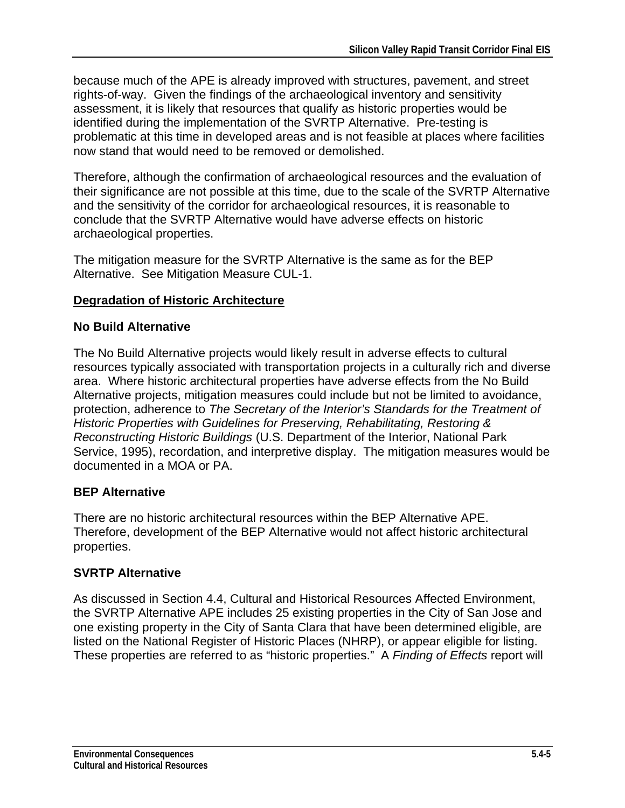because much of the APE is already improved with structures, pavement, and street rights-of-way. Given the findings of the archaeological inventory and sensitivity assessment, it is likely that resources that qualify as historic properties would be identified during the implementation of the SVRTP Alternative. Pre-testing is problematic at this time in developed areas and is not feasible at places where facilities now stand that would need to be removed or demolished.

Therefore, although the confirmation of archaeological resources and the evaluation of their significance are not possible at this time, due to the scale of the SVRTP Alternative and the sensitivity of the corridor for archaeological resources, it is reasonable to conclude that the SVRTP Alternative would have adverse effects on historic archaeological properties.

The mitigation measure for the SVRTP Alternative is the same as for the BEP Alternative. See Mitigation Measure CUL-1.

#### **Degradation of Historic Architecture**

#### **No Build Alternative**

The No Build Alternative projects would likely result in adverse effects to cultural resources typically associated with transportation projects in a culturally rich and diverse area. Where historic architectural properties have adverse effects from the No Build Alternative projects, mitigation measures could include but not be limited to avoidance, protection, adherence to *The Secretary of the Interior's Standards for the Treatment of Historic Properties with Guidelines for Preserving, Rehabilitating, Restoring & Reconstructing Historic Buildings* (U.S. Department of the Interior, National Park Service, 1995), recordation, and interpretive display. The mitigation measures would be documented in a MOA or PA.

#### **BEP Alternative**

There are no historic architectural resources within the BEP Alternative APE. Therefore, development of the BEP Alternative would not affect historic architectural properties.

#### **SVRTP Alternative**

As discussed in Section 4.4, Cultural and Historical Resources Affected Environment, the SVRTP Alternative APE includes 25 existing properties in the City of San Jose and one existing property in the City of Santa Clara that have been determined eligible, are listed on the National Register of Historic Places (NHRP), or appear eligible for listing. These properties are referred to as "historic properties." A *Finding of Effects* report will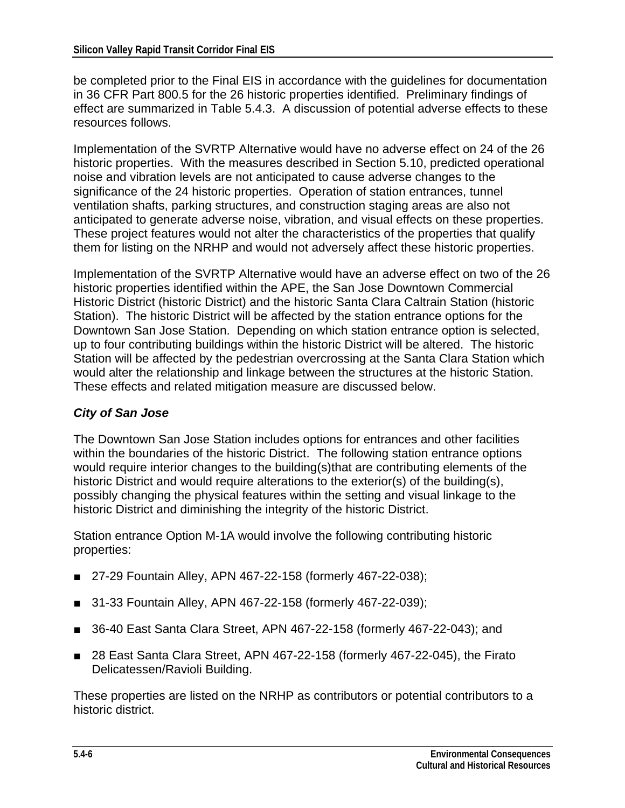be completed prior to the Final EIS in accordance with the guidelines for documentation in 36 CFR Part 800.5 for the 26 historic properties identified. Preliminary findings of effect are summarized in Table 5.4.3. A discussion of potential adverse effects to these resources follows.

Implementation of the SVRTP Alternative would have no adverse effect on 24 of the 26 historic properties. With the measures described in Section 5.10, predicted operational noise and vibration levels are not anticipated to cause adverse changes to the significance of the 24 historic properties. Operation of station entrances, tunnel ventilation shafts, parking structures, and construction staging areas are also not anticipated to generate adverse noise, vibration, and visual effects on these properties. These project features would not alter the characteristics of the properties that qualify them for listing on the NRHP and would not adversely affect these historic properties.

Implementation of the SVRTP Alternative would have an adverse effect on two of the 26 historic properties identified within the APE, the San Jose Downtown Commercial Historic District (historic District) and the historic Santa Clara Caltrain Station (historic Station). The historic District will be affected by the station entrance options for the Downtown San Jose Station. Depending on which station entrance option is selected, up to four contributing buildings within the historic District will be altered. The historic Station will be affected by the pedestrian overcrossing at the Santa Clara Station which would alter the relationship and linkage between the structures at the historic Station. These effects and related mitigation measure are discussed below.

#### *City of San Jose*

The Downtown San Jose Station includes options for entrances and other facilities within the boundaries of the historic District. The following station entrance options would require interior changes to the building(s)that are contributing elements of the historic District and would require alterations to the exterior(s) of the building(s), possibly changing the physical features within the setting and visual linkage to the historic District and diminishing the integrity of the historic District.

Station entrance Option M-1A would involve the following contributing historic properties:

- 27-29 Fountain Alley, APN 467-22-158 (formerly 467-22-038);
- 31-33 Fountain Alley, APN 467-22-158 (formerly 467-22-039);
- 36-40 East Santa Clara Street, APN 467-22-158 (formerly 467-22-043); and
- 28 East Santa Clara Street, APN 467-22-158 (formerly 467-22-045), the Firato Delicatessen/Ravioli Building.

These properties are listed on the NRHP as contributors or potential contributors to a historic district.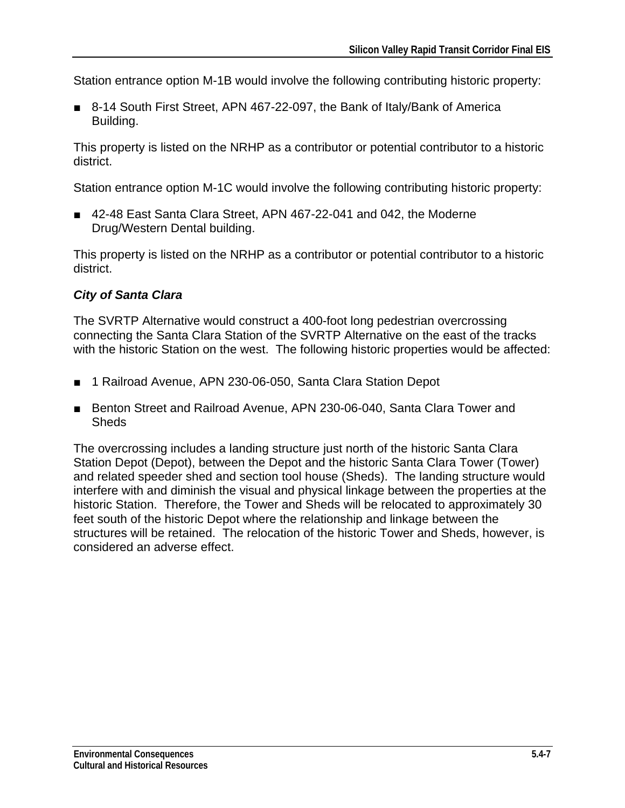Station entrance option M-1B would involve the following contributing historic property:

■ 8-14 South First Street, APN 467-22-097, the Bank of Italy/Bank of America Building.

This property is listed on the NRHP as a contributor or potential contributor to a historic district.

Station entrance option M-1C would involve the following contributing historic property:

■ 42-48 East Santa Clara Street, APN 467-22-041 and 042, the Moderne Drug/Western Dental building.

This property is listed on the NRHP as a contributor or potential contributor to a historic district.

#### *City of Santa Clara*

The SVRTP Alternative would construct a 400-foot long pedestrian overcrossing connecting the Santa Clara Station of the SVRTP Alternative on the east of the tracks with the historic Station on the west. The following historic properties would be affected:

- 1 Railroad Avenue, APN 230-06-050, Santa Clara Station Depot
- Benton Street and Railroad Avenue, APN 230-06-040, Santa Clara Tower and **Sheds**

The overcrossing includes a landing structure just north of the historic Santa Clara Station Depot (Depot), between the Depot and the historic Santa Clara Tower (Tower) and related speeder shed and section tool house (Sheds). The landing structure would interfere with and diminish the visual and physical linkage between the properties at the historic Station. Therefore, the Tower and Sheds will be relocated to approximately 30 feet south of the historic Depot where the relationship and linkage between the structures will be retained. The relocation of the historic Tower and Sheds, however, is considered an adverse effect.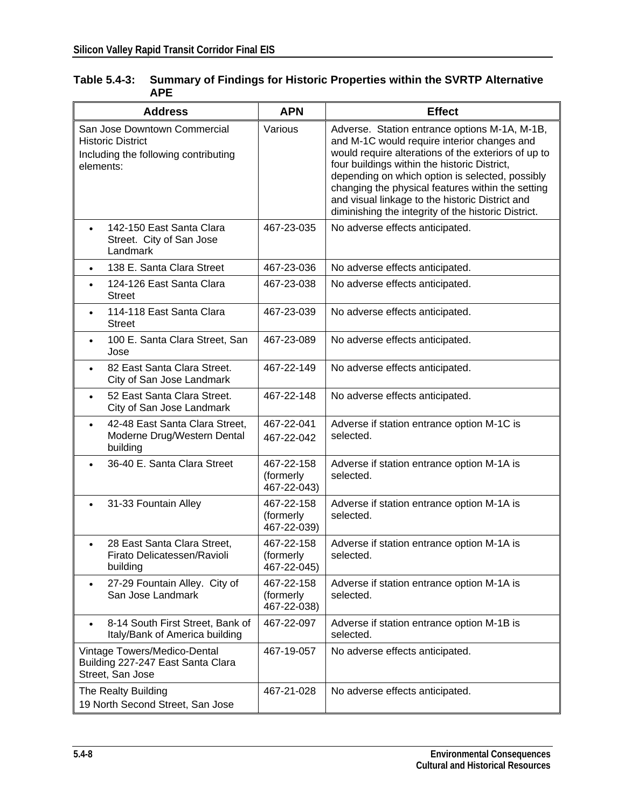| <b>Address</b>                                                                                                | <b>APN</b>                             | <b>Effect</b>                                                                                                                                                                                                                                                                                                                                                                                                         |
|---------------------------------------------------------------------------------------------------------------|----------------------------------------|-----------------------------------------------------------------------------------------------------------------------------------------------------------------------------------------------------------------------------------------------------------------------------------------------------------------------------------------------------------------------------------------------------------------------|
| San Jose Downtown Commercial<br><b>Historic District</b><br>Including the following contributing<br>elements: | Various                                | Adverse. Station entrance options M-1A, M-1B,<br>and M-1C would require interior changes and<br>would require alterations of the exteriors of up to<br>four buildings within the historic District,<br>depending on which option is selected, possibly<br>changing the physical features within the setting<br>and visual linkage to the historic District and<br>diminishing the integrity of the historic District. |
| 142-150 East Santa Clara<br>$\bullet$<br>Street. City of San Jose<br>Landmark                                 | 467-23-035                             | No adverse effects anticipated.                                                                                                                                                                                                                                                                                                                                                                                       |
| 138 E. Santa Clara Street                                                                                     | 467-23-036                             | No adverse effects anticipated.                                                                                                                                                                                                                                                                                                                                                                                       |
| 124-126 East Santa Clara<br><b>Street</b>                                                                     | 467-23-038                             | No adverse effects anticipated.                                                                                                                                                                                                                                                                                                                                                                                       |
| 114-118 East Santa Clara<br><b>Street</b>                                                                     | 467-23-039                             | No adverse effects anticipated.                                                                                                                                                                                                                                                                                                                                                                                       |
| 100 E. Santa Clara Street, San<br>Jose                                                                        | 467-23-089                             | No adverse effects anticipated.                                                                                                                                                                                                                                                                                                                                                                                       |
| 82 East Santa Clara Street.<br>City of San Jose Landmark                                                      | 467-22-149                             | No adverse effects anticipated.                                                                                                                                                                                                                                                                                                                                                                                       |
| 52 East Santa Clara Street.<br>City of San Jose Landmark                                                      | 467-22-148                             | No adverse effects anticipated.                                                                                                                                                                                                                                                                                                                                                                                       |
| 42-48 East Santa Clara Street,<br>Moderne Drug/Western Dental<br>building                                     | 467-22-041<br>467-22-042               | Adverse if station entrance option M-1C is<br>selected.                                                                                                                                                                                                                                                                                                                                                               |
| 36-40 E. Santa Clara Street                                                                                   | 467-22-158<br>(formerly<br>467-22-043) | Adverse if station entrance option M-1A is<br>selected.                                                                                                                                                                                                                                                                                                                                                               |
| 31-33 Fountain Alley                                                                                          | 467-22-158<br>(formerly<br>467-22-039) | Adverse if station entrance option M-1A is<br>selected.                                                                                                                                                                                                                                                                                                                                                               |
| 28 East Santa Clara Street,<br>Firato Delicatessen/Ravioli<br>building                                        | 467-22-158<br>(formerly<br>467-22-045) | Adverse if station entrance option M-1A is<br>selected.                                                                                                                                                                                                                                                                                                                                                               |
| 27-29 Fountain Alley. City of<br>San Jose Landmark                                                            | 467-22-158<br>(formerly<br>467-22-038) | Adverse if station entrance option M-1A is<br>selected.                                                                                                                                                                                                                                                                                                                                                               |
| 8-14 South First Street, Bank of<br>Italy/Bank of America building                                            | 467-22-097                             | Adverse if station entrance option M-1B is<br>selected.                                                                                                                                                                                                                                                                                                                                                               |
| Vintage Towers/Medico-Dental<br>Building 227-247 East Santa Clara<br>Street, San Jose                         | 467-19-057                             | No adverse effects anticipated.                                                                                                                                                                                                                                                                                                                                                                                       |
| The Realty Building<br>19 North Second Street, San Jose                                                       | 467-21-028                             | No adverse effects anticipated.                                                                                                                                                                                                                                                                                                                                                                                       |

#### **Table 5.4-3: Summary of Findings for Historic Properties within the SVRTP Alternative APE**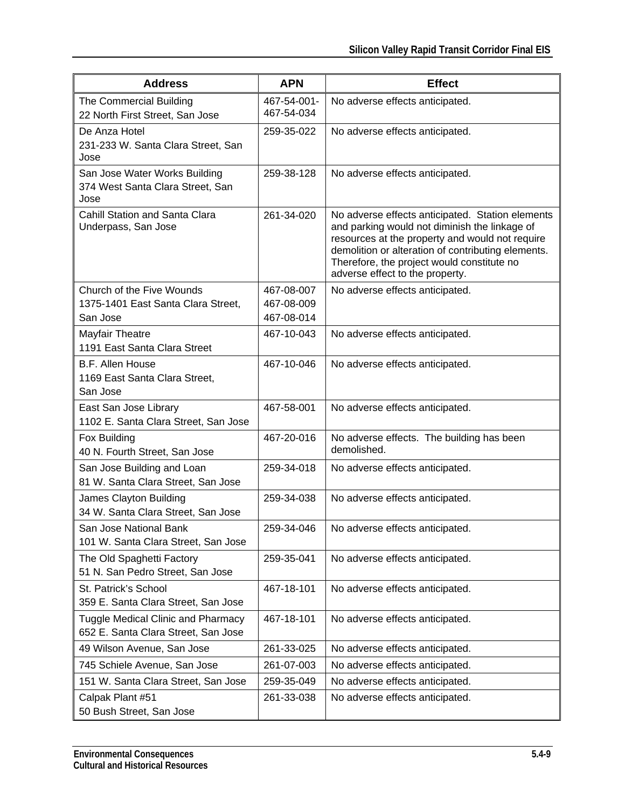| <b>Address</b>                                                                   | <b>APN</b>                             | <b>Effect</b>                                                                                                                                                                                                                                                                               |
|----------------------------------------------------------------------------------|----------------------------------------|---------------------------------------------------------------------------------------------------------------------------------------------------------------------------------------------------------------------------------------------------------------------------------------------|
| The Commercial Building<br>22 North First Street, San Jose                       | 467-54-001-<br>467-54-034              | No adverse effects anticipated.                                                                                                                                                                                                                                                             |
| De Anza Hotel<br>231-233 W. Santa Clara Street, San<br>Jose                      | 259-35-022                             | No adverse effects anticipated.                                                                                                                                                                                                                                                             |
| San Jose Water Works Building<br>374 West Santa Clara Street, San<br>Jose        | 259-38-128                             | No adverse effects anticipated.                                                                                                                                                                                                                                                             |
| <b>Cahill Station and Santa Clara</b><br>Underpass, San Jose                     | 261-34-020                             | No adverse effects anticipated. Station elements<br>and parking would not diminish the linkage of<br>resources at the property and would not require<br>demolition or alteration of contributing elements.<br>Therefore, the project would constitute no<br>adverse effect to the property. |
| Church of the Five Wounds<br>1375-1401 East Santa Clara Street,<br>San Jose      | 467-08-007<br>467-08-009<br>467-08-014 | No adverse effects anticipated.                                                                                                                                                                                                                                                             |
| Mayfair Theatre<br>1191 East Santa Clara Street                                  | 467-10-043                             | No adverse effects anticipated.                                                                                                                                                                                                                                                             |
| <b>B.F. Allen House</b><br>1169 East Santa Clara Street,<br>San Jose             | 467-10-046                             | No adverse effects anticipated.                                                                                                                                                                                                                                                             |
| East San Jose Library<br>1102 E. Santa Clara Street, San Jose                    | 467-58-001                             | No adverse effects anticipated.                                                                                                                                                                                                                                                             |
| Fox Building<br>40 N. Fourth Street, San Jose                                    | 467-20-016                             | No adverse effects. The building has been<br>demolished.                                                                                                                                                                                                                                    |
| San Jose Building and Loan<br>81 W. Santa Clara Street, San Jose                 | 259-34-018                             | No adverse effects anticipated.                                                                                                                                                                                                                                                             |
| James Clayton Building<br>34 W. Santa Clara Street, San Jose                     | 259-34-038                             | No adverse effects anticipated.                                                                                                                                                                                                                                                             |
| San Jose National Bank<br>101 W. Santa Clara Street, San Jose                    | 259-34-046                             | No adverse effects anticipated.                                                                                                                                                                                                                                                             |
| The Old Spaghetti Factory<br>51 N. San Pedro Street, San Jose                    | 259-35-041                             | No adverse effects anticipated.                                                                                                                                                                                                                                                             |
| St. Patrick's School<br>359 E. Santa Clara Street, San Jose                      | 467-18-101                             | No adverse effects anticipated.                                                                                                                                                                                                                                                             |
| <b>Tuggle Medical Clinic and Pharmacy</b><br>652 E. Santa Clara Street, San Jose | 467-18-101                             | No adverse effects anticipated.                                                                                                                                                                                                                                                             |
| 49 Wilson Avenue, San Jose                                                       | 261-33-025                             | No adverse effects anticipated.                                                                                                                                                                                                                                                             |
| 745 Schiele Avenue, San Jose                                                     | 261-07-003                             | No adverse effects anticipated.                                                                                                                                                                                                                                                             |
| 151 W. Santa Clara Street, San Jose                                              | 259-35-049                             | No adverse effects anticipated.                                                                                                                                                                                                                                                             |
| Calpak Plant #51<br>50 Bush Street, San Jose                                     | 261-33-038                             | No adverse effects anticipated.                                                                                                                                                                                                                                                             |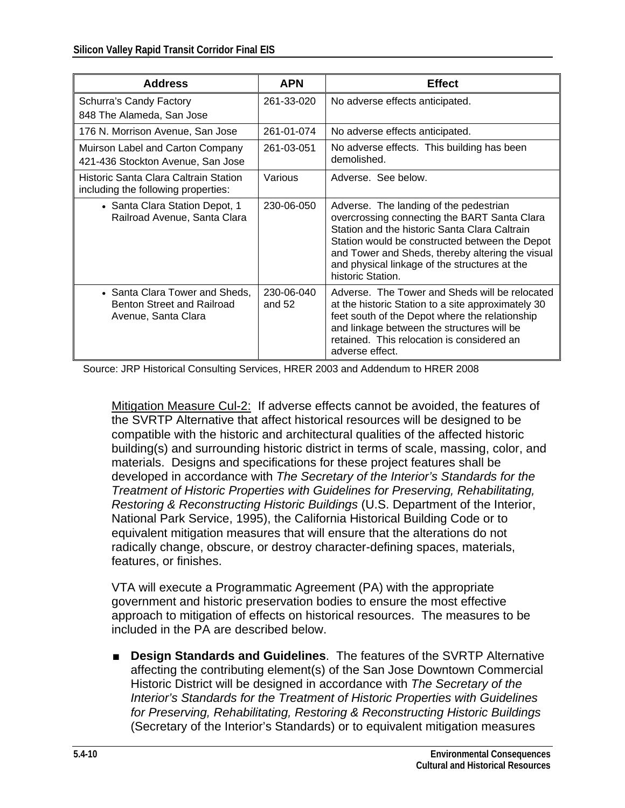| <b>Address</b>                                                                             | <b>APN</b>             | <b>Effect</b>                                                                                                                                                                                                                                                                                                       |
|--------------------------------------------------------------------------------------------|------------------------|---------------------------------------------------------------------------------------------------------------------------------------------------------------------------------------------------------------------------------------------------------------------------------------------------------------------|
| Schurra's Candy Factory                                                                    | 261-33-020             | No adverse effects anticipated.                                                                                                                                                                                                                                                                                     |
| 848 The Alameda, San Jose                                                                  |                        |                                                                                                                                                                                                                                                                                                                     |
| 176 N. Morrison Avenue, San Jose                                                           | 261-01-074             | No adverse effects anticipated.                                                                                                                                                                                                                                                                                     |
| Muirson Label and Carton Company<br>421-436 Stockton Avenue, San Jose                      | 261-03-051             | No adverse effects. This building has been<br>demolished.                                                                                                                                                                                                                                                           |
| Historic Santa Clara Caltrain Station<br>including the following properties:               | Various                | Adverse. See below.                                                                                                                                                                                                                                                                                                 |
| • Santa Clara Station Depot, 1<br>Railroad Avenue, Santa Clara                             | 230-06-050             | Adverse. The landing of the pedestrian<br>overcrossing connecting the BART Santa Clara<br>Station and the historic Santa Clara Caltrain<br>Station would be constructed between the Depot<br>and Tower and Sheds, thereby altering the visual<br>and physical linkage of the structures at the<br>historic Station. |
| • Santa Clara Tower and Sheds,<br><b>Benton Street and Railroad</b><br>Avenue, Santa Clara | 230-06-040<br>and $52$ | Adverse. The Tower and Sheds will be relocated<br>at the historic Station to a site approximately 30<br>feet south of the Depot where the relationship<br>and linkage between the structures will be<br>retained. This relocation is considered an<br>adverse effect.                                               |

Source: JRP Historical Consulting Services, HRER 2003 and Addendum to HRER 2008

Mitigation Measure Cul-2: If adverse effects cannot be avoided, the features of the SVRTP Alternative that affect historical resources will be designed to be compatible with the historic and architectural qualities of the affected historic building(s) and surrounding historic district in terms of scale, massing, color, and materials. Designs and specifications for these project features shall be developed in accordance with *The Secretary of the Interior's Standards for the Treatment of Historic Properties with Guidelines for Preserving, Rehabilitating, Restoring & Reconstructing Historic Buildings* (U.S. Department of the Interior, National Park Service, 1995), the California Historical Building Code or to equivalent mitigation measures that will ensure that the alterations do not radically change, obscure, or destroy character-defining spaces, materials, features, or finishes.

VTA will execute a Programmatic Agreement (PA) with the appropriate government and historic preservation bodies to ensure the most effective approach to mitigation of effects on historical resources. The measures to be included in the PA are described below.

■ **Design Standards and Guidelines**. The features of the SVRTP Alternative affecting the contributing element(s) of the San Jose Downtown Commercial Historic District will be designed in accordance with *The Secretary of the Interior's Standards for the Treatment of Historic Properties with Guidelines for Preserving, Rehabilitating, Restoring & Reconstructing Historic Buildings* (Secretary of the Interior's Standards) or to equivalent mitigation measures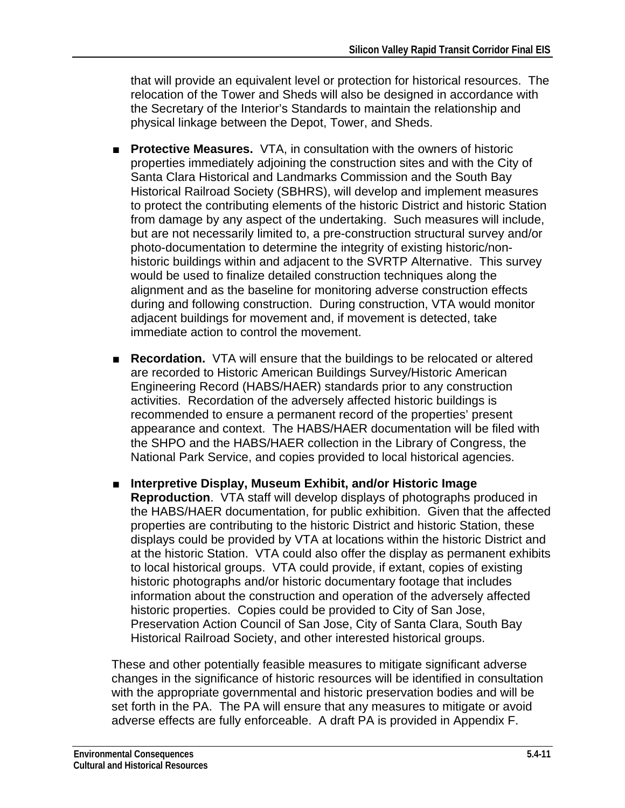that will provide an equivalent level or protection for historical resources. The relocation of the Tower and Sheds will also be designed in accordance with the Secretary of the Interior's Standards to maintain the relationship and physical linkage between the Depot, Tower, and Sheds.

- **Protective Measures.** VTA, in consultation with the owners of historic properties immediately adjoining the construction sites and with the City of Santa Clara Historical and Landmarks Commission and the South Bay Historical Railroad Society (SBHRS), will develop and implement measures to protect the contributing elements of the historic District and historic Station from damage by any aspect of the undertaking. Such measures will include, but are not necessarily limited to, a pre-construction structural survey and/or photo-documentation to determine the integrity of existing historic/nonhistoric buildings within and adjacent to the SVRTP Alternative. This survey would be used to finalize detailed construction techniques along the alignment and as the baseline for monitoring adverse construction effects during and following construction. During construction, VTA would monitor adjacent buildings for movement and, if movement is detected, take immediate action to control the movement.
- **Recordation.** VTA will ensure that the buildings to be relocated or altered are recorded to Historic American Buildings Survey/Historic American Engineering Record (HABS/HAER) standards prior to any construction activities. Recordation of the adversely affected historic buildings is recommended to ensure a permanent record of the properties' present appearance and context. The HABS/HAER documentation will be filed with the SHPO and the HABS/HAER collection in the Library of Congress, the National Park Service, and copies provided to local historical agencies.
- **Interpretive Display, Museum Exhibit, and/or Historic Image Reproduction**. VTA staff will develop displays of photographs produced in the HABS/HAER documentation, for public exhibition. Given that the affected properties are contributing to the historic District and historic Station, these displays could be provided by VTA at locations within the historic District and at the historic Station. VTA could also offer the display as permanent exhibits to local historical groups. VTA could provide, if extant, copies of existing historic photographs and/or historic documentary footage that includes information about the construction and operation of the adversely affected historic properties. Copies could be provided to City of San Jose, Preservation Action Council of San Jose, City of Santa Clara, South Bay Historical Railroad Society, and other interested historical groups.

These and other potentially feasible measures to mitigate significant adverse changes in the significance of historic resources will be identified in consultation with the appropriate governmental and historic preservation bodies and will be set forth in the PA. The PA will ensure that any measures to mitigate or avoid adverse effects are fully enforceable. A draft PA is provided in Appendix F.